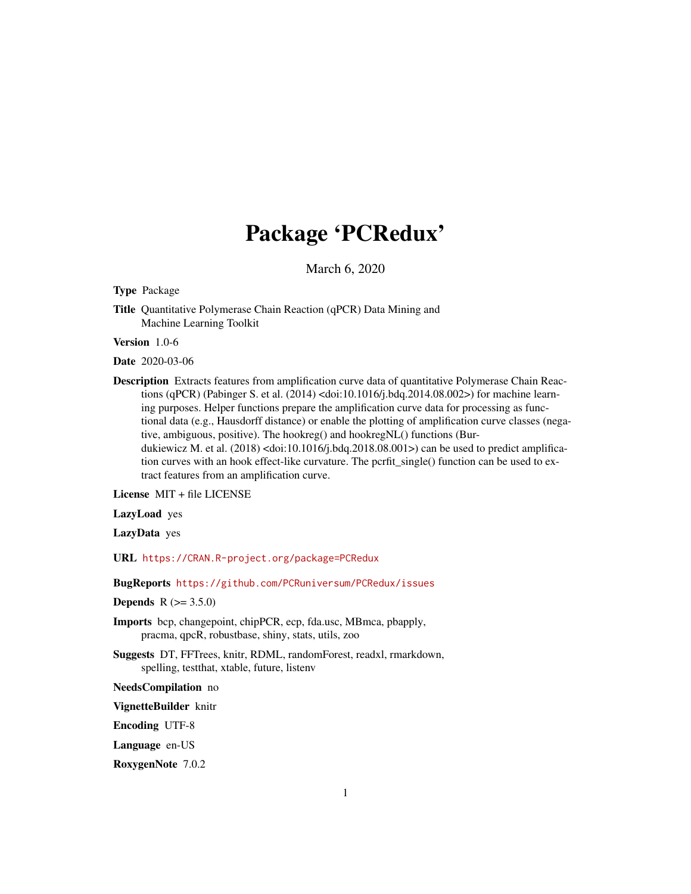# Package 'PCRedux'

March 6, 2020

<span id="page-0-0"></span>Type Package

Title Quantitative Polymerase Chain Reaction (qPCR) Data Mining and Machine Learning Toolkit

Version 1.0-6

Date 2020-03-06

Description Extracts features from amplification curve data of quantitative Polymerase Chain Reactions (qPCR) (Pabinger S. et al. (2014) <doi:10.1016/j.bdq.2014.08.002>) for machine learning purposes. Helper functions prepare the amplification curve data for processing as functional data (e.g., Hausdorff distance) or enable the plotting of amplification curve classes (negative, ambiguous, positive). The hookreg() and hookregNL() functions (Burdukiewicz M. et al. (2018) <doi:10.1016/j.bdq.2018.08.001>) can be used to predict amplification curves with an hook effect-like curvature. The pcrfit\_single() function can be used to extract features from an amplification curve.

License MIT + file LICENSE

LazyLoad yes

LazyData yes

URL <https://CRAN.R-project.org/package=PCRedux>

BugReports <https://github.com/PCRuniversum/PCRedux/issues>

**Depends** R  $(>= 3.5.0)$ 

- Imports bcp, changepoint, chipPCR, ecp, fda.usc, MBmca, pbapply, pracma, qpcR, robustbase, shiny, stats, utils, zoo
- Suggests DT, FFTrees, knitr, RDML, randomForest, readxl, rmarkdown, spelling, testthat, xtable, future, listenv

NeedsCompilation no

VignetteBuilder knitr

Encoding UTF-8

Language en-US

RoxygenNote 7.0.2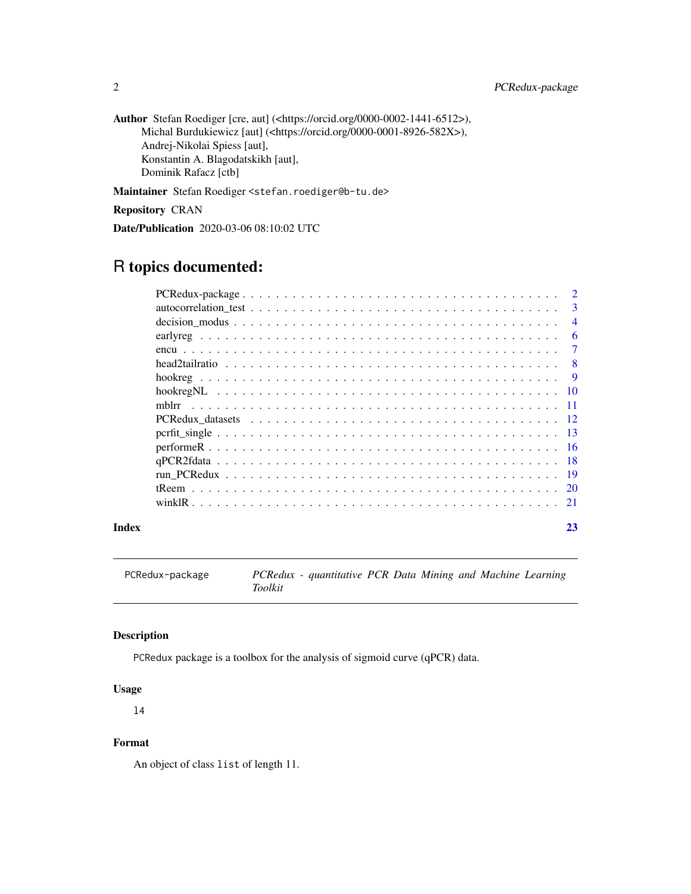Author Stefan Roediger [cre, aut] (<https://orcid.org/0000-0002-1441-6512>), Michal Burdukiewicz [aut] (<https://orcid.org/0000-0001-8926-582X>), Andrej-Nikolai Spiess [aut], Konstantin A. Blagodatskikh [aut], Dominik Rafacz [ctb]

Maintainer Stefan Roediger <stefan.roediger@b-tu.de>

Repository CRAN

Date/Publication 2020-03-06 08:10:02 UTC

# R topics documented:

|       | 2              |
|-------|----------------|
|       | $\mathbf{3}$   |
|       | $\overline{4}$ |
|       | -6             |
|       | $\overline{7}$ |
|       |                |
|       |                |
|       |                |
|       |                |
|       |                |
|       |                |
|       |                |
|       |                |
|       |                |
|       |                |
|       |                |
| Index | 23             |

PCRedux-package *PCRedux - quantitative PCR Data Mining and Machine Learning Toolkit*

# Description

PCRedux package is a toolbox for the analysis of sigmoid curve (qPCR) data.

# Usage

l4

# Format

An object of class list of length 11.

<span id="page-1-0"></span>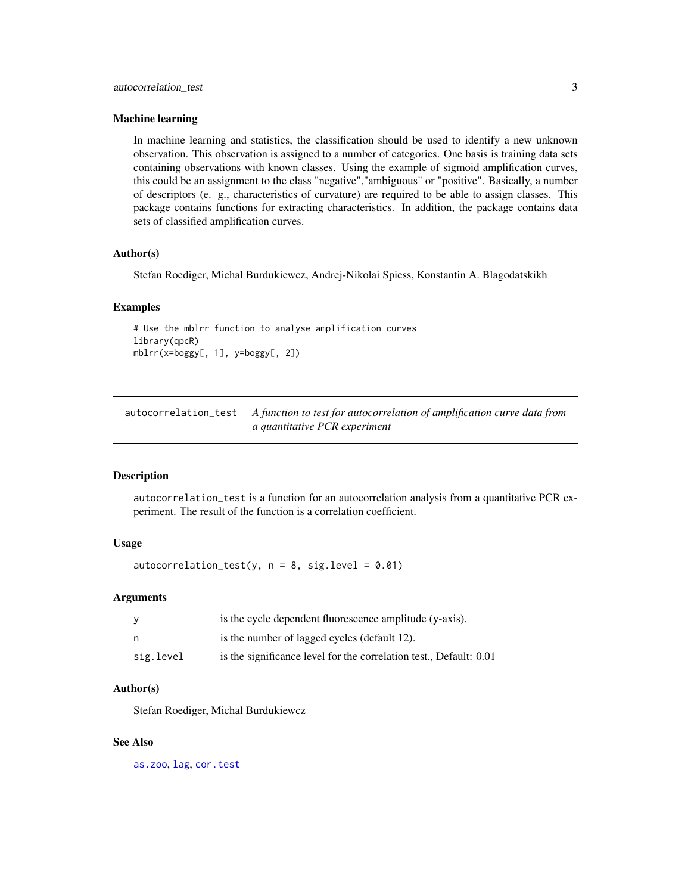#### <span id="page-2-0"></span>Machine learning

In machine learning and statistics, the classification should be used to identify a new unknown observation. This observation is assigned to a number of categories. One basis is training data sets containing observations with known classes. Using the example of sigmoid amplification curves, this could be an assignment to the class "negative","ambiguous" or "positive". Basically, a number of descriptors (e. g., characteristics of curvature) are required to be able to assign classes. This package contains functions for extracting characteristics. In addition, the package contains data sets of classified amplification curves.

# Author(s)

Stefan Roediger, Michal Burdukiewcz, Andrej-Nikolai Spiess, Konstantin A. Blagodatskikh

#### Examples

# Use the mblrr function to analyse amplification curves library(qpcR) mblrr(x=boggy[, 1], y=boggy[, 2])

<span id="page-2-1"></span>autocorrelation\_test *A function to test for autocorrelation of amplification curve data from a quantitative PCR experiment*

# Description

autocorrelation\_test is a function for an autocorrelation analysis from a quantitative PCR experiment. The result of the function is a correlation coefficient.

# Usage

 $autocorrelation_test(y, n = 8, sig. level = 0.01)$ 

#### Arguments

| У         | is the cycle dependent fluorescence amplitude (y-axis).            |
|-----------|--------------------------------------------------------------------|
| n         | is the number of lagged cycles (default 12).                       |
| sig.level | is the significance level for the correlation test., Default: 0.01 |

#### Author(s)

Stefan Roediger, Michal Burdukiewcz

# See Also

[as.zoo](#page-0-0), [lag](#page-0-0), [cor.test](#page-0-0)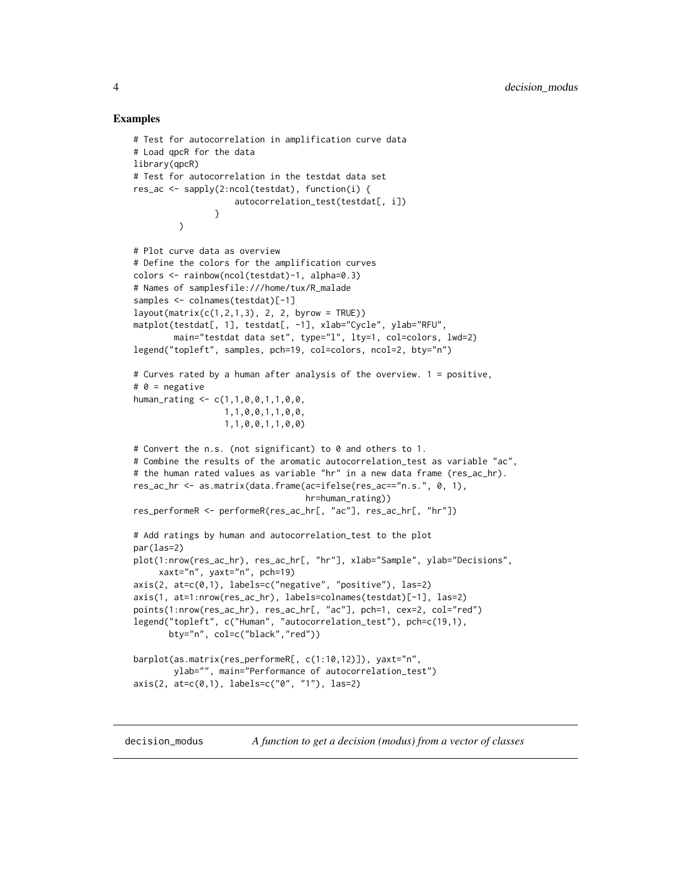# Examples

```
# Test for autocorrelation in amplification curve data
# Load qpcR for the data
library(qpcR)
# Test for autocorrelation in the testdat data set
res_ac <- sapply(2:ncol(testdat), function(i) {
                    autocorrelation_test(testdat[, i])
                }
         )
# Plot curve data as overview
# Define the colors for the amplification curves
colors <- rainbow(ncol(testdat)-1, alpha=0.3)
# Names of samplesfile:///home/tux/R_malade
samples <- colnames(testdat)[-1]
layout(maxrix(c(1,2,1,3), 2, 2, byrow = TRUE))matplot(testdat[, 1], testdat[, -1], xlab="Cycle", ylab="RFU",
        main="testdat data set", type="l", lty=1, col=colors, lwd=2)
legend("topleft", samples, pch=19, col=colors, ncol=2, bty="n")
# Curves rated by a human after analysis of the overview. 1 = positive,
# 0 = negative
human_rating <- c(1,1,0,0,1,1,0,0,
                  1,1,0,0,1,1,0,0,
                  1,1,0,0,1,1,0,0)
# Convert the n.s. (not significant) to 0 and others to 1.
# Combine the results of the aromatic autocorrelation_test as variable "ac",
# the human rated values as variable "hr" in a new data frame (res_ac_hr).
res_ac_hr <- as.matrix(data.frame(ac=ifelse(res_ac=="n.s.", 0, 1),
                                  hr=human_rating))
res_performeR <- performeR(res_ac_hr[, "ac"], res_ac_hr[, "hr"])
# Add ratings by human and autocorrelation_test to the plot
par(las=2)
plot(1:nrow(res_ac_hr), res_ac_hr[, "hr"], xlab="Sample", ylab="Decisions",
     xaxt="n", yaxt="n", pch=19)
axis(2, at=c(0,1), labels=c("negative", "positive"), las=2)
axis(1, at=1:nrow(res_ac_hr), labels=colnames(testdat)[-1], las=2)
points(1:nrow(res_ac_hr), res_ac_hr[, "ac"], pch=1, cex=2, col="red")
legend("topleft", c("Human", "autocorrelation_test"), pch=c(19,1),
       bty="n", col=c("black","red"))
barplot(as.matrix(res_performeR[, c(1:10,12)]), yaxt="n",
        ylab="", main="Performance of autocorrelation_test")
axis(2, at=c(0,1), labels=c("0", "1"), las=2)
```
decision\_modus *A function to get a decision (modus) from a vector of classes*

<span id="page-3-0"></span>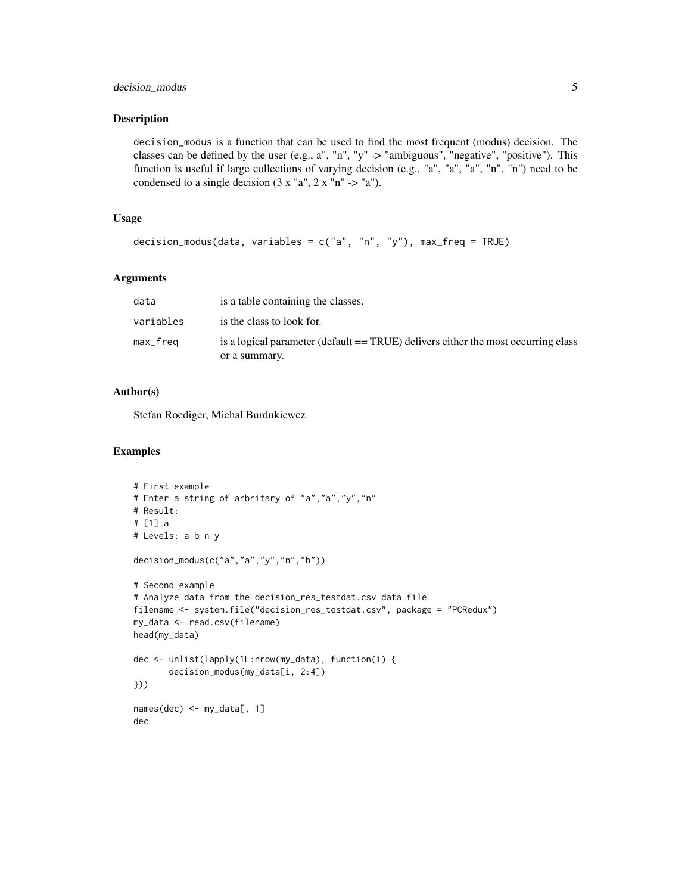# decision\_modus 5

#### Description

decision\_modus is a function that can be used to find the most frequent (modus) decision. The classes can be defined by the user (e.g., a", "n", "y" -> "ambiguous", "negative", "positive"). This function is useful if large collections of varying decision (e.g., "a", "a", "a", "n", "n") need to be condensed to a single decision  $(3 x "a", 2 x "n" -> "a").$ 

# Usage

```
decision_modus(data, variables = c("a", "n", "y"), max_freq = TRUE)
```
# Arguments

| data      | is a table containing the classes.                                                |
|-----------|-----------------------------------------------------------------------------------|
| variables | is the class to look for.                                                         |
| max_freq  | is a logical parameter (default == TRUE) delivers either the most occurring class |
|           | or a summary.                                                                     |

# Author(s)

Stefan Roediger, Michal Burdukiewcz

```
# First example
# Enter a string of arbritary of "a","a","y","n"
# Result:
# [1] a
# Levels: a b n y
decision_modus(c("a","a","y","n","b"))
# Second example
# Analyze data from the decision_res_testdat.csv data file
filename <- system.file("decision_res_testdat.csv", package = "PCRedux")
my_data <- read.csv(filename)
head(my_data)
dec <- unlist(lapply(1L:nrow(my_data), function(i) {
       decision_modus(my_data[i, 2:4])
}))
names(dec) <- my_data[, 1]
dec
```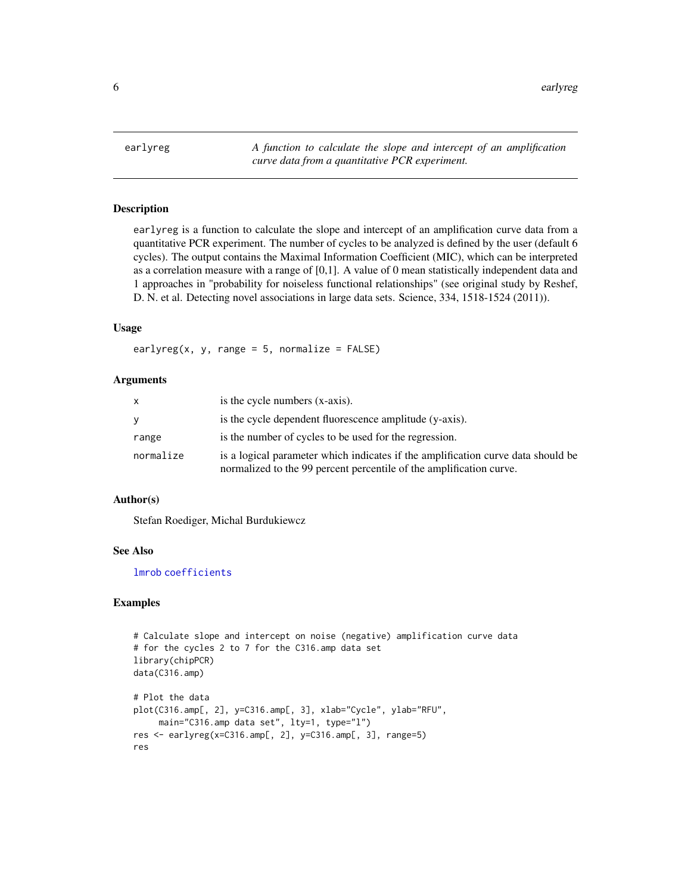<span id="page-5-0"></span>6 early region of the control of the control of the control of the control of the control of the control of the control of the control of the control of the control of the control of the control of the control of the contr

<span id="page-5-1"></span>earlyreg *A function to calculate the slope and intercept of an amplification curve data from a quantitative PCR experiment.*

# Description

earlyreg is a function to calculate the slope and intercept of an amplification curve data from a quantitative PCR experiment. The number of cycles to be analyzed is defined by the user (default 6 cycles). The output contains the Maximal Information Coefficient (MIC), which can be interpreted as a correlation measure with a range of [0,1]. A value of 0 mean statistically independent data and 1 approaches in "probability for noiseless functional relationships" (see original study by Reshef, D. N. et al. Detecting novel associations in large data sets. Science, 334, 1518-1524 (2011)).

# Usage

earlyreg(x, y, range =  $5$ , normalize =  $FALSE$ )

#### Arguments

| x         | is the cycle numbers (x-axis).                                                                                                                          |
|-----------|---------------------------------------------------------------------------------------------------------------------------------------------------------|
| V         | is the cycle dependent fluorescence amplitude (y-axis).                                                                                                 |
| range     | is the number of cycles to be used for the regression.                                                                                                  |
| normalize | is a logical parameter which indicates if the amplification curve data should be<br>normalized to the 99 percent percentile of the amplification curve. |

# Author(s)

Stefan Roediger, Michal Burdukiewcz

#### See Also

[lmrob](#page-0-0) [coefficients](#page-0-0)

```
# Calculate slope and intercept on noise (negative) amplification curve data
# for the cycles 2 to 7 for the C316.amp data set
library(chipPCR)
data(C316.amp)
# Plot the data
plot(C316.amp[, 2], y=C316.amp[, 3], xlab="Cycle", ylab="RFU",
     main="C316.amp data set", lty=1, type="l")
res <- earlyreg(x=C316.amp[, 2], y=C316.amp[, 3], range=5)
res
```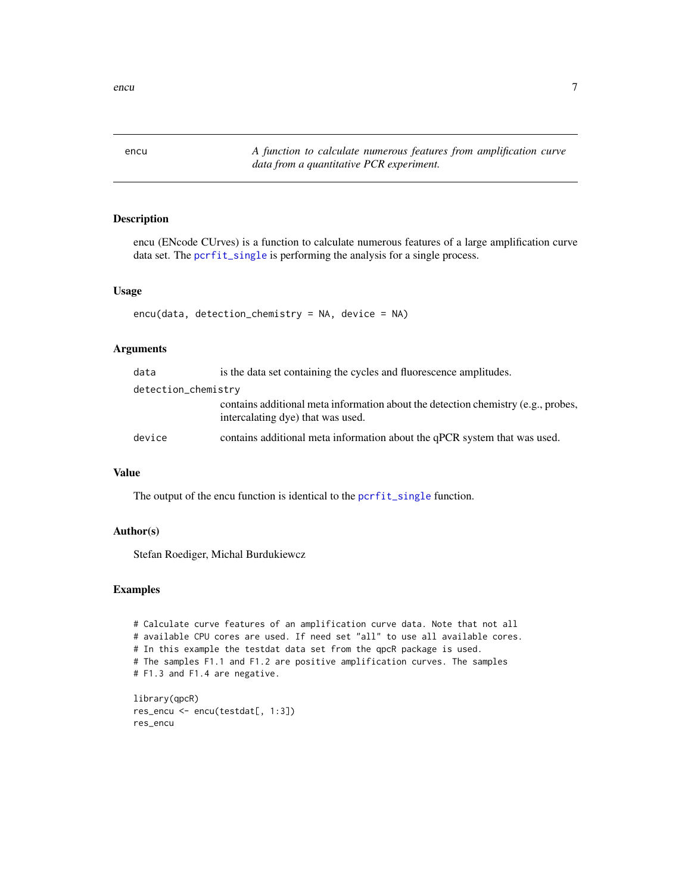<span id="page-6-1"></span><span id="page-6-0"></span>encu *A function to calculate numerous features from amplification curve data from a quantitative PCR experiment.*

# Description

encu (ENcode CUrves) is a function to calculate numerous features of a large amplification curve data set. The [pcrfit\\_single](#page-12-1) is performing the analysis for a single process.

# Usage

```
encu(data, detection_chemistry = NA, device = NA)
```
# Arguments

| data                | is the data set containing the cycles and fluorescence amplitudes.                                                     |
|---------------------|------------------------------------------------------------------------------------------------------------------------|
| detection_chemistry |                                                                                                                        |
|                     | contains additional meta information about the detection chemistry (e.g., probes,<br>intercalating dye) that was used. |
| device              | contains additional meta information about the qPCR system that was used.                                              |

# Value

The output of the encu function is identical to the [pcrfit\\_single](#page-12-1) function.

# Author(s)

Stefan Roediger, Michal Burdukiewcz

```
# Calculate curve features of an amplification curve data. Note that not all
# available CPU cores are used. If need set "all" to use all available cores.
# In this example the testdat data set from the qpcR package is used.
# The samples F1.1 and F1.2 are positive amplification curves. The samples
# F1.3 and F1.4 are negative.
library(qpcR)
```

```
res_encu <- encu(testdat[, 1:3])
res_encu
```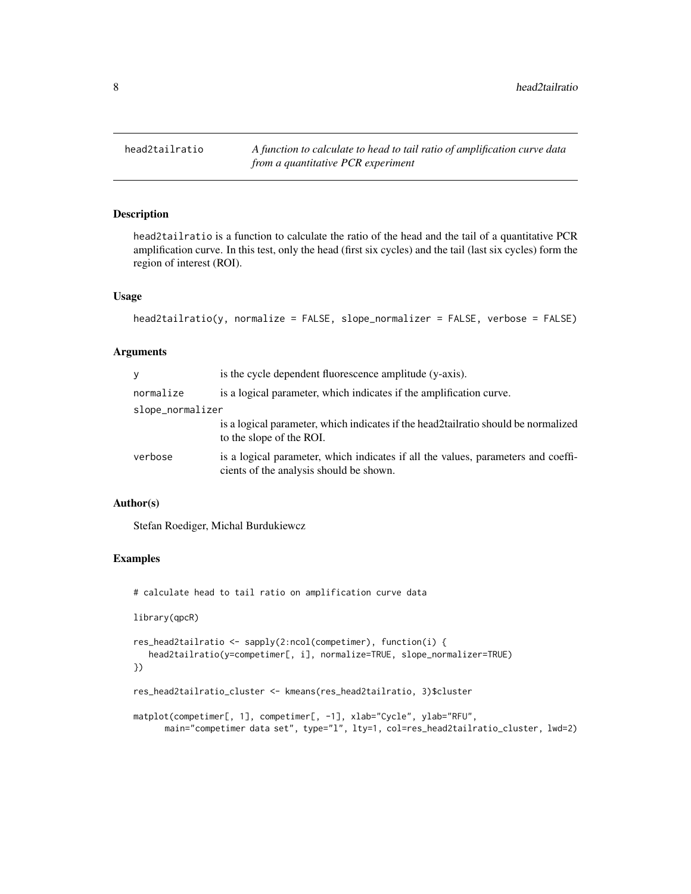<span id="page-7-1"></span><span id="page-7-0"></span>

# Description

head2tailratio is a function to calculate the ratio of the head and the tail of a quantitative PCR amplification curve. In this test, only the head (first six cycles) and the tail (last six cycles) form the region of interest (ROI).

# Usage

```
head2tailratio(y, normalize = FALSE, slope_normalizer = FALSE, verbose = FALSE)
```
# Arguments

| y                | is the cycle dependent fluorescence amplitude (y-axis).                                                                      |
|------------------|------------------------------------------------------------------------------------------------------------------------------|
| normalize        | is a logical parameter, which indicates if the amplification curve.                                                          |
| slope_normalizer |                                                                                                                              |
|                  | is a logical parameter, which indicates if the head2tailratio should be normalized<br>to the slope of the ROI.               |
| verbose          | is a logical parameter, which indicates if all the values, parameters and coeffi-<br>cients of the analysis should be shown. |

# Author(s)

Stefan Roediger, Michal Burdukiewcz

# Examples

# calculate head to tail ratio on amplification curve data

library(qpcR)

```
res_head2tailratio <- sapply(2:ncol(competimer), function(i) {
  head2tailratio(y=competimer[, i], normalize=TRUE, slope_normalizer=TRUE)
})
```

```
res_head2tailratio_cluster <- kmeans(res_head2tailratio, 3)$cluster
```

```
matplot(competimer[, 1], competimer[, -1], xlab="Cycle", ylab="RFU",
      main="competimer data set", type="l", lty=1, col=res_head2tailratio_cluster, lwd=2)
```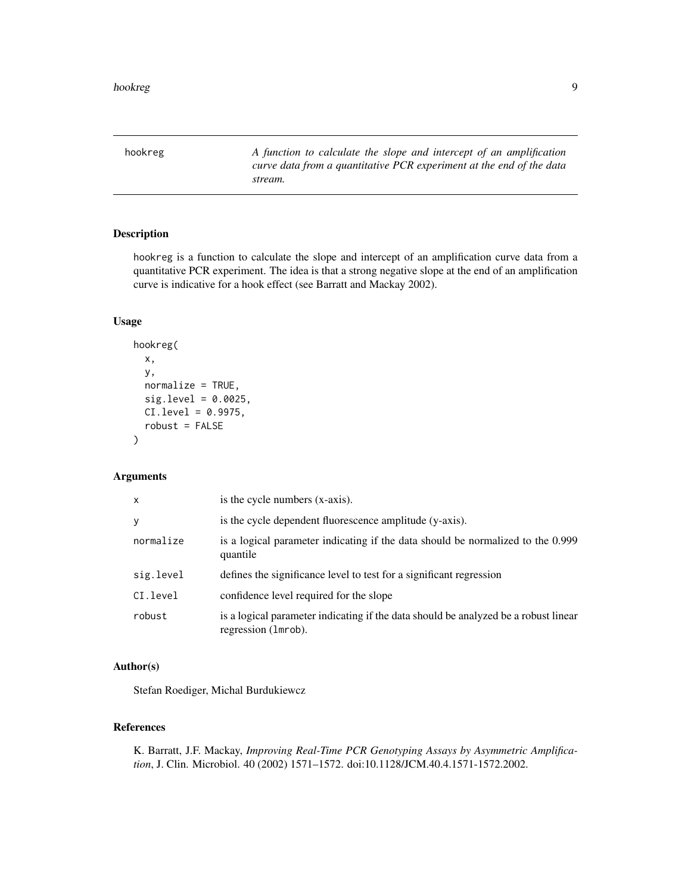<span id="page-8-1"></span><span id="page-8-0"></span>hookreg *A function to calculate the slope and intercept of an amplification curve data from a quantitative PCR experiment at the end of the data stream.*

# Description

hookreg is a function to calculate the slope and intercept of an amplification curve data from a quantitative PCR experiment. The idea is that a strong negative slope at the end of an amplification curve is indicative for a hook effect (see Barratt and Mackay 2002).

# Usage

```
hookreg(
  x,
  y,
  normalize = TRUE,
  sig. level = 0.0025,
  CI.level = 0.9975,
  robust = FALSE)
```
# Arguments

| x         | is the cycle numbers (x-axis).                                                                             |
|-----------|------------------------------------------------------------------------------------------------------------|
| У         | is the cycle dependent fluorescence amplitude (y-axis).                                                    |
| normalize | is a logical parameter indicating if the data should be normalized to the 0.999<br>quantile                |
| sig.level | defines the significance level to test for a significant regression                                        |
| CI.level  | confidence level required for the slope                                                                    |
| robust    | is a logical parameter indicating if the data should be analyzed be a robust linear<br>regression (1mrob). |

# Author(s)

Stefan Roediger, Michal Burdukiewcz

# References

K. Barratt, J.F. Mackay, *Improving Real-Time PCR Genotyping Assays by Asymmetric Amplification*, J. Clin. Microbiol. 40 (2002) 1571–1572. doi:10.1128/JCM.40.4.1571-1572.2002.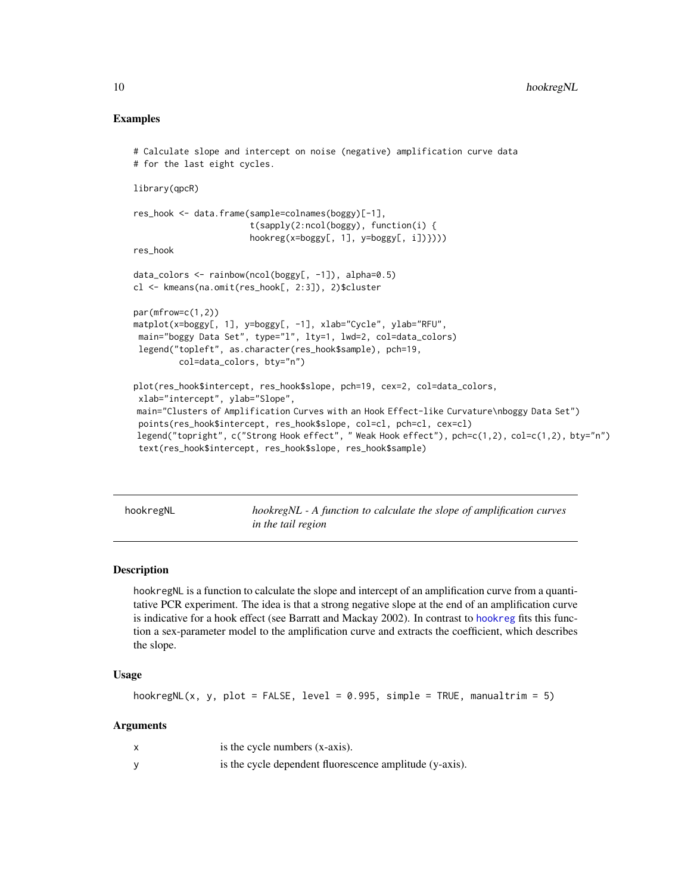# <span id="page-9-0"></span>Examples

```
# Calculate slope and intercept on noise (negative) amplification curve data
# for the last eight cycles.
library(qpcR)
res_hook <- data.frame(sample=colnames(boggy)[-1],
                       t(sapply(2:ncol(boggy), function(i) {
                       hookreg(x=boggy[, 1], y=boggy[, i])})))
res_hook
data_colors <- rainbow(ncol(boggy[, -1]), alpha=0.5)
cl <- kmeans(na.omit(res_hook[, 2:3]), 2)$cluster
par(mfrow=c(1,2))
matplot(x=boggy[, 1], y=boggy[, -1], xlab="Cycle", ylab="RFU",
 main="boggy Data Set", type="l", lty=1, lwd=2, col=data_colors)
 legend("topleft", as.character(res_hook$sample), pch=19,
         col=data_colors, bty="n")
plot(res_hook$intercept, res_hook$slope, pch=19, cex=2, col=data_colors,
 xlab="intercept", ylab="Slope",
main="Clusters of Amplification Curves with an Hook Effect-like Curvature\nboggy Data Set")
 points(res_hook$intercept, res_hook$slope, col=cl, pch=cl, cex=cl)
legend("topright", c("Strong Hook effect", " Weak Hook effect"), pch=c(1,2), col=c(1,2), bty="n")
 text(res_hook$intercept, res_hook$slope, res_hook$sample)
```
<span id="page-9-1"></span>hookregNL *hookregNL - A function to calculate the slope of amplification curves in the tail region*

### Description

hookregNL is a function to calculate the slope and intercept of an amplification curve from a quantitative PCR experiment. The idea is that a strong negative slope at the end of an amplification curve is indicative for a hook effect (see Barratt and Mackay 2002). In contrast to [hookreg](#page-8-1) fits this function a sex-parameter model to the amplification curve and extracts the coefficient, which describes the slope.

# Usage

```
hookregNL(x, y, plot = FALSE, level = 0.995, simple = TRUE, manualtrim = 5)
```
# **Arguments**

| is the cycle numbers (x-axis).                          |
|---------------------------------------------------------|
| is the cycle dependent fluorescence amplitude (y-axis). |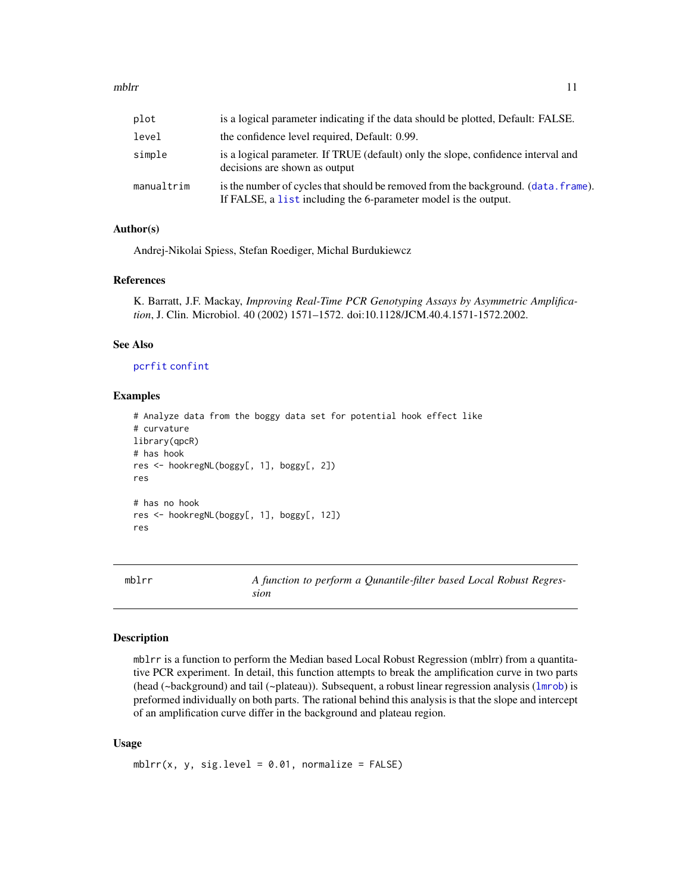<span id="page-10-0"></span>

| plot  | is a logical parameter indicating if the data should be plotted, Default: FALSE. |
|-------|----------------------------------------------------------------------------------|
| level | the confidence level required, Default: 0.99.                                    |

| simple     | is a logical parameter. If TRUE (default) only the slope, confidence interval and<br>decisions are shown as output                                    |
|------------|-------------------------------------------------------------------------------------------------------------------------------------------------------|
| manualtrim | is the number of cycles that should be removed from the background. (data, frame).<br>If FALSE, a list including the 6-parameter model is the output. |

# Author(s)

Andrej-Nikolai Spiess, Stefan Roediger, Michal Burdukiewcz

#### References

K. Barratt, J.F. Mackay, *Improving Real-Time PCR Genotyping Assays by Asymmetric Amplification*, J. Clin. Microbiol. 40 (2002) 1571–1572. doi:10.1128/JCM.40.4.1571-1572.2002.

#### See Also

[pcrfit](#page-0-0) [confint](#page-0-0)

# Examples

```
# Analyze data from the boggy data set for potential hook effect like
# curvature
library(qpcR)
# has hook
res <- hookregNL(boggy[, 1], boggy[, 2])
res
# has no hook
res <- hookregNL(boggy[, 1], boggy[, 12])
res
```
<span id="page-10-1"></span>mblrr *A function to perform a Qunantile-filter based Local Robust Regression*

#### Description

mblrr is a function to perform the Median based Local Robust Regression (mblrr) from a quantitative PCR experiment. In detail, this function attempts to break the amplification curve in two parts (head (~background) and tail (~plateau)). Subsequent, a robust linear regression analysis ([lmrob](#page-0-0)) is preformed individually on both parts. The rational behind this analysis is that the slope and intercept of an amplification curve differ in the background and plateau region.

# Usage

 $mblrr(x, y, sig.level = 0.01, normalize = FALSE)$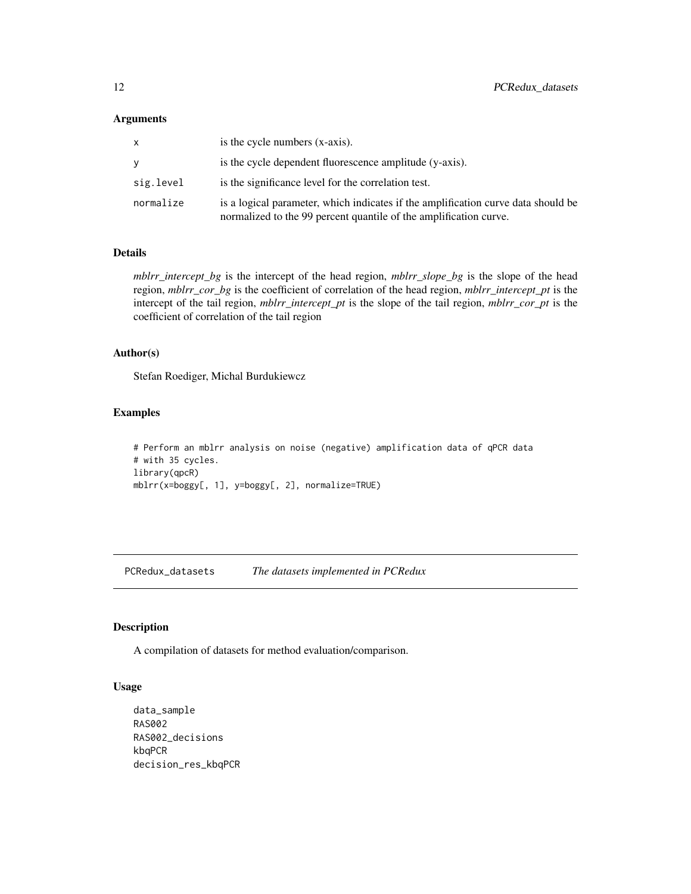# <span id="page-11-0"></span>Arguments

| x         | is the cycle numbers (x-axis).                                                                                                                         |
|-----------|--------------------------------------------------------------------------------------------------------------------------------------------------------|
| v         | is the cycle dependent fluorescence amplitude (y-axis).                                                                                                |
| sig.level | is the significance level for the correlation test.                                                                                                    |
| normalize | is a logical parameter, which indicates if the amplification curve data should be<br>normalized to the 99 percent quantile of the amplification curve. |

#### Details

*mblrr\_intercept\_bg* is the intercept of the head region, *mblrr\_slope\_bg* is the slope of the head region, *mblrr\_cor\_bg* is the coefficient of correlation of the head region, *mblrr\_intercept\_pt* is the intercept of the tail region, *mblrr\_intercept\_pt* is the slope of the tail region, *mblrr\_cor\_pt* is the coefficient of correlation of the tail region

# Author(s)

Stefan Roediger, Michal Burdukiewcz

# Examples

```
# Perform an mblrr analysis on noise (negative) amplification data of qPCR data
# with 35 cycles.
library(qpcR)
mblrr(x=boggy[, 1], y=boggy[, 2], normalize=TRUE)
```
PCRedux\_datasets *The datasets implemented in PCRedux*

# Description

A compilation of datasets for method evaluation/comparison.

#### Usage

```
data_sample
RAS002
RAS002_decisions
kbqPCR
decision_res_kbqPCR
```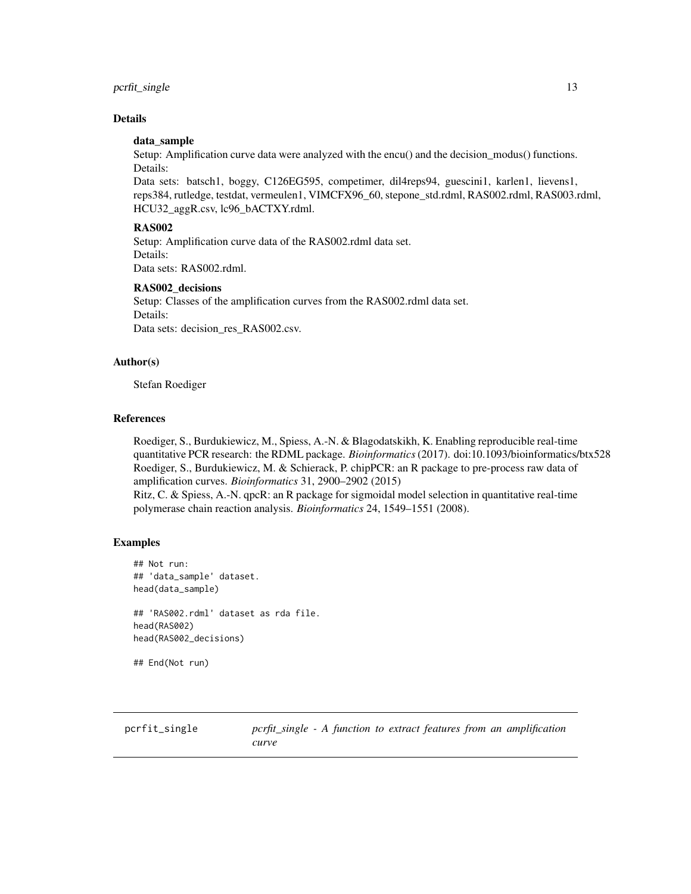# <span id="page-12-0"></span>pcrfit\_single 13

# Details

# data\_sample

Setup: Amplification curve data were analyzed with the encu() and the decision\_modus() functions. Details:

Data sets: batsch1, boggy, C126EG595, competimer, dil4reps94, guescini1, karlen1, lievens1, reps384, rutledge, testdat, vermeulen1, VIMCFX96\_60, stepone\_std.rdml, RAS002.rdml, RAS003.rdml, HCU32\_aggR.csv, lc96\_bACTXY.rdml.

#### RAS002

Setup: Amplification curve data of the RAS002.rdml data set. Details: Data sets: RAS002.rdml.

# RAS002\_decisions

Setup: Classes of the amplification curves from the RAS002.rdml data set. Details: Data sets: decision\_res\_RAS002.csv.

# Author(s)

Stefan Roediger

# References

Roediger, S., Burdukiewicz, M., Spiess, A.-N. & Blagodatskikh, K. Enabling reproducible real-time quantitative PCR research: the RDML package. *Bioinformatics*(2017). doi:10.1093/bioinformatics/btx528 Roediger, S., Burdukiewicz, M. & Schierack, P. chipPCR: an R package to pre-process raw data of amplification curves. *Bioinformatics* 31, 2900–2902 (2015)

Ritz, C. & Spiess, A.-N. qpcR: an R package for sigmoidal model selection in quantitative real-time polymerase chain reaction analysis. *Bioinformatics* 24, 1549–1551 (2008).

# Examples

```
## Not run:
## 'data_sample' dataset.
head(data_sample)
## 'RAS002.rdml' dataset as rda file.
head(RAS002)
head(RAS002_decisions)
```
## End(Not run)

<span id="page-12-1"></span>pcrfit\_single *pcrfit\_single - A function to extract features from an amplification curve*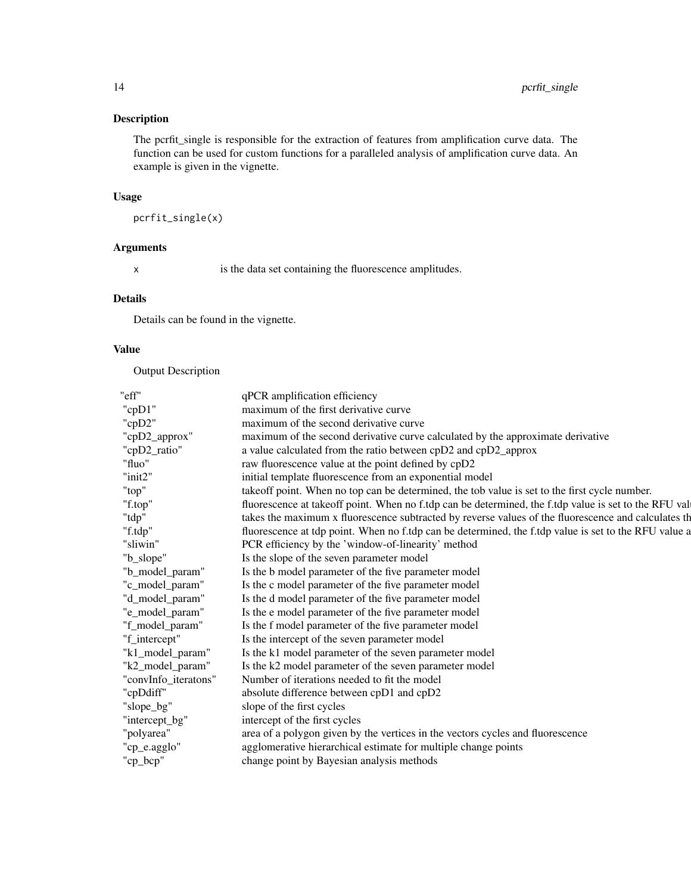# Description

The pcrfit\_single is responsible for the extraction of features from amplification curve data. The function can be used for custom functions for a paralleled analysis of amplification curve data. An example is given in the vignette.

# Usage

pcrfit\_single(x)

# Arguments

x is the data set containing the fluorescence amplitudes.

# Details

Details can be found in the vignette.

# Value

Output Description

| qPCR amplification efficiency                                                                         |
|-------------------------------------------------------------------------------------------------------|
| maximum of the first derivative curve                                                                 |
| maximum of the second derivative curve                                                                |
| maximum of the second derivative curve calculated by the approximate derivative                       |
| a value calculated from the ratio between cpD2 and cpD2_approx                                        |
| raw fluorescence value at the point defined by cpD2                                                   |
| initial template fluorescence from an exponential model                                               |
| takeoff point. When no top can be determined, the tob value is set to the first cycle number.         |
| fluorescence at takeoff point. When no f.tdp can be determined, the f.tdp value is set to the RFU val |
| takes the maximum x fluorescence subtracted by reverse values of the fluorescence and calculates th   |
| fluorescence at tdp point. When no f.tdp can be determined, the f.tdp value is set to the RFU value a |
| PCR efficiency by the 'window-of-linearity' method                                                    |
| Is the slope of the seven parameter model                                                             |
| Is the b model parameter of the five parameter model                                                  |
| Is the c model parameter of the five parameter model                                                  |
| Is the d model parameter of the five parameter model                                                  |
| Is the e model parameter of the five parameter model                                                  |
| Is the f model parameter of the five parameter model                                                  |
| Is the intercept of the seven parameter model                                                         |
| Is the k1 model parameter of the seven parameter model                                                |
| Is the k2 model parameter of the seven parameter model                                                |
| Number of iterations needed to fit the model                                                          |
| absolute difference between cpD1 and cpD2                                                             |
| slope of the first cycles                                                                             |
| intercept of the first cycles                                                                         |
| area of a polygon given by the vertices in the vectors cycles and fluorescence                        |
| agglomerative hierarchical estimate for multiple change points                                        |
| change point by Bayesian analysis methods                                                             |
|                                                                                                       |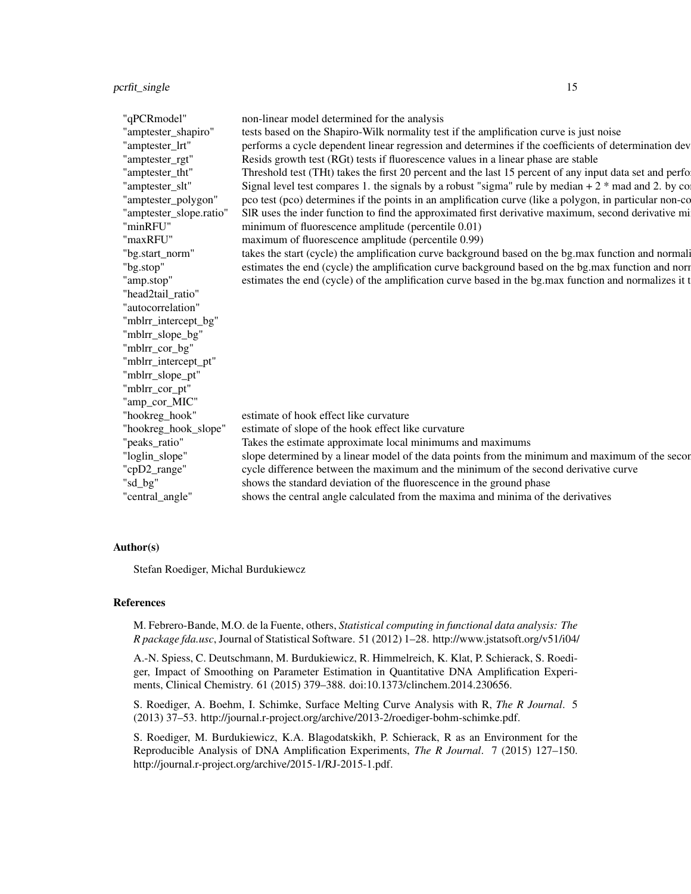| "qPCRmodel"             | non-linear model determined for the analysis                                                            |
|-------------------------|---------------------------------------------------------------------------------------------------------|
| "amptester_shapiro"     | tests based on the Shapiro-Wilk normality test if the amplification curve is just noise                 |
| "amptester_lrt"         | performs a cycle dependent linear regression and determines if the coefficients of determination dev    |
| "amptester_rgt"         | Resids growth test (RGt) tests if fluorescence values in a linear phase are stable                      |
| "amptester_tht"         | Threshold test (THt) takes the first 20 percent and the last 15 percent of any input data set and perfo |
| "amptester_slt"         | Signal level test compares 1. the signals by a robust "sigma" rule by median $+2$ * mad and 2. by co    |
|                         | pco test (pco) determines if the points in an amplification curve (like a polygon, in particular non-co |
| "amptester_polygon"     |                                                                                                         |
| "amptester_slope.ratio" | SIR uses the inder function to find the approximated first derivative maximum, second derivative mi     |
| "minRFU"                | minimum of fluorescence amplitude (percentile 0.01)                                                     |
| "maxRFU"                | maximum of fluorescence amplitude (percentile 0.99)                                                     |
| "bg.start_norm"         | takes the start (cycle) the amplification curve background based on the bg.max function and normali     |
| "bg.stop"               | estimates the end (cycle) the amplification curve background based on the bg.max function and norr      |
| "amp.stop"              | estimates the end (cycle) of the amplification curve based in the bg.max function and normalizes it t   |
| "head2tail_ratio"       |                                                                                                         |
| "autocorrelation"       |                                                                                                         |
| "mblrr_intercept_bg"    |                                                                                                         |
| "mblrr_slope_bg"        |                                                                                                         |
| "mblrr_cor_bg"          |                                                                                                         |
| "mblrr_intercept_pt"    |                                                                                                         |
| "mblrr_slope_pt"        |                                                                                                         |
| "mblrr_cor_pt"          |                                                                                                         |
| "amp_cor_MIC"           |                                                                                                         |
| "hookreg_hook"          | estimate of hook effect like curvature                                                                  |
| "hookreg_hook_slope"    | estimate of slope of the hook effect like curvature                                                     |
| "peaks_ratio"           | Takes the estimate approximate local minimums and maximums                                              |
| "loglin_slope"          | slope determined by a linear model of the data points from the minimum and maximum of the secor         |
| "cpD2_range"            | cycle difference between the maximum and the minimum of the second derivative curve                     |
| "sd_bg"                 | shows the standard deviation of the fluorescence in the ground phase                                    |
|                         |                                                                                                         |
| "central_angle"         | shows the central angle calculated from the maxima and minima of the derivatives                        |

# Author(s)

Stefan Roediger, Michal Burdukiewcz

# References

M. Febrero-Bande, M.O. de la Fuente, others, *Statistical computing in functional data analysis: The R package fda.usc*, Journal of Statistical Software. 51 (2012) 1–28. http://www.jstatsoft.org/v51/i04/

A.-N. Spiess, C. Deutschmann, M. Burdukiewicz, R. Himmelreich, K. Klat, P. Schierack, S. Roediger, Impact of Smoothing on Parameter Estimation in Quantitative DNA Amplification Experiments, Clinical Chemistry. 61 (2015) 379–388. doi:10.1373/clinchem.2014.230656.

S. Roediger, A. Boehm, I. Schimke, Surface Melting Curve Analysis with R, *The R Journal*. 5 (2013) 37–53. http://journal.r-project.org/archive/2013-2/roediger-bohm-schimke.pdf.

S. Roediger, M. Burdukiewicz, K.A. Blagodatskikh, P. Schierack, R as an Environment for the Reproducible Analysis of DNA Amplification Experiments, *The R Journal*. 7 (2015) 127–150. http://journal.r-project.org/archive/2015-1/RJ-2015-1.pdf.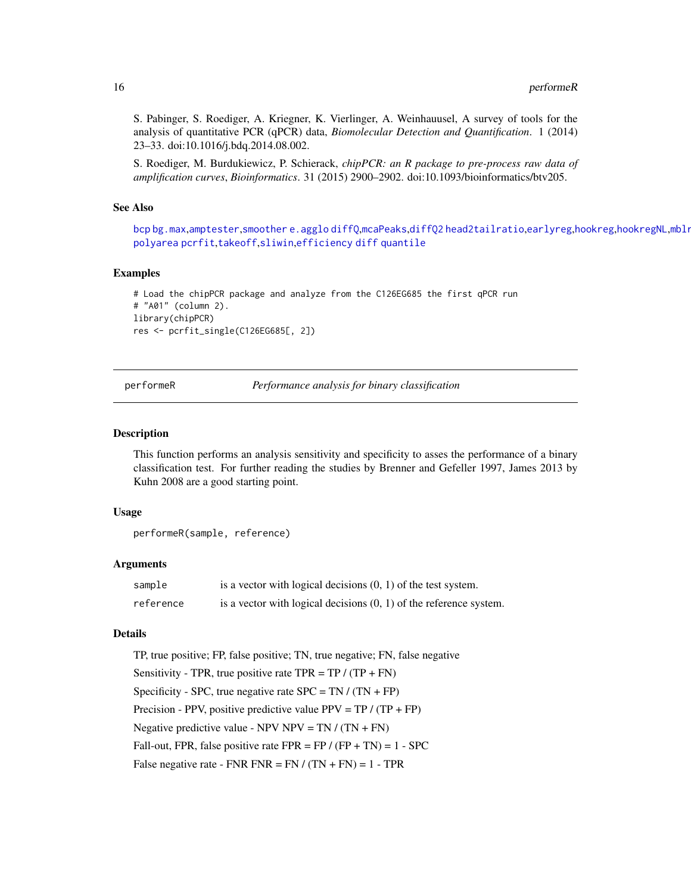<span id="page-15-0"></span>S. Pabinger, S. Roediger, A. Kriegner, K. Vierlinger, A. Weinhauusel, A survey of tools for the analysis of quantitative PCR (qPCR) data, *Biomolecular Detection and Quantification*. 1 (2014) 23–33. doi:10.1016/j.bdq.2014.08.002.

S. Roediger, M. Burdukiewicz, P. Schierack, *chipPCR: an R package to pre-process raw data of amplification curves*, *Bioinformatics*. 31 (2015) 2900–2902. doi:10.1093/bioinformatics/btv205.

#### See Also

[bcp](#page-0-0) [bg.max](#page-0-0),[amptester](#page-0-0),[smoother](#page-0-0) [e.agglo](#page-0-0) [diffQ](#page-0-0),[mcaPeaks](#page-0-0),[diffQ2](#page-0-0) [head2tailratio](#page-7-1),[earlyreg](#page-5-1),[hookreg](#page-8-1),[hookregNL](#page-9-1),mblr [polyarea](#page-0-0) [pcrfit](#page-0-0),[takeoff](#page-0-0),[sliwin](#page-0-0),[efficiency](#page-0-0) [diff](#page-0-0) [quantile](#page-0-0)

# Examples

```
# Load the chipPCR package and analyze from the C126EG685 the first qPCR run
# "A01" (column 2).
library(chipPCR)
res <- pcrfit_single(C126EG685[, 2])
```
performeR *Performance analysis for binary classification*

#### **Description**

This function performs an analysis sensitivity and specificity to asses the performance of a binary classification test. For further reading the studies by Brenner and Gefeller 1997, James 2013 by Kuhn 2008 are a good starting point.

#### Usage

```
performeR(sample, reference)
```
#### Arguments

| sample    | is a vector with logical decisions $(0, 1)$ of the test system.      |
|-----------|----------------------------------------------------------------------|
| reference | is a vector with logical decisions $(0, 1)$ of the reference system. |

#### Details

```
TP, true positive; FP, false positive; TN, true negative; FN, false negative
Sensitivity - TPR, true positive rate TPR = TP / (TP + FN)Specificity - SPC, true negative rate SPC = TN / (TN + FP)Precision - PPV, positive predictive value PPV = TP / (TP + FP)
Negative predictive value - NPV NPV = TN / (TN + FN)Fall-out, FPR, false positive rate FPR = FP / (FP + TN) = 1 - SPECFalse negative rate - FNR FNR = FN /(TN + FN) = 1 - TPR
```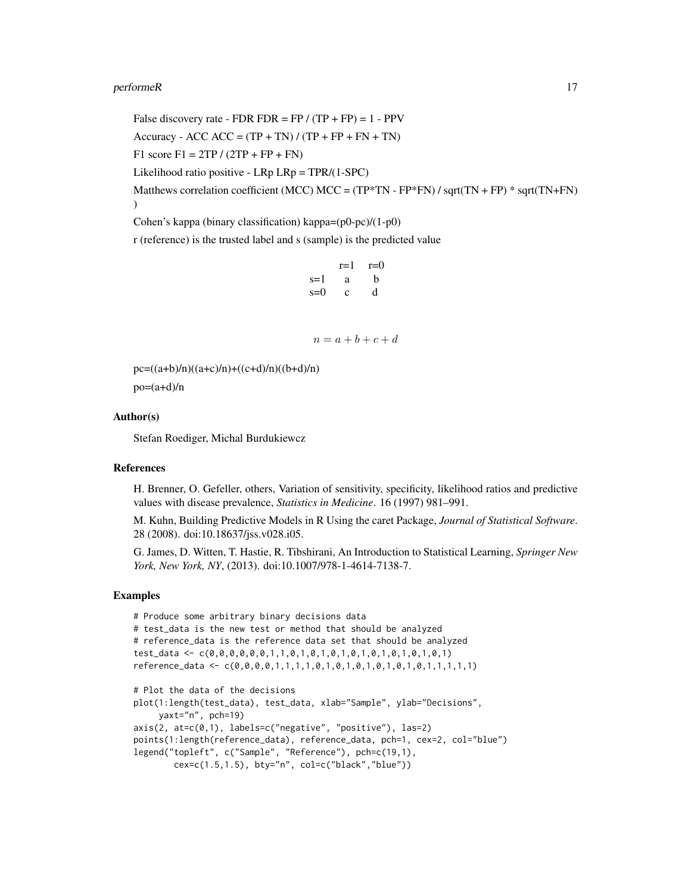#### performeR 17

False discovery rate - FDR FDR = FP  $/(TP + FP) = 1 - PPV$ Accuracy - ACC ACC =  $(TP + TN) / (TP + FP + FN + TN)$ F1 score  $F1 = 2TP / (2TP + FP + FN)$ Likelihood ratio positive - LRp LRp = TPR/(1-SPC) Matthews correlation coefficient (MCC) MCC =  $(TP*TN - FP*FN) / sqrt(TN + FP) * sqrt(TN + FN)$ ) Cohen's kappa (binary classification) kappa=(p0-pc)/(1-p0)

r (reference) is the trusted label and s (sample) is the predicted value

```
r=1 r=0s=1 a b
s=0 c d
```

```
n = a + b + c + d
```
 $pc=((a+b)/n)((a+c)/n)+((c+d)/n)((b+d)/n)$  $po=(a+d)/n$ 

#### Author(s)

Stefan Roediger, Michal Burdukiewcz

#### References

H. Brenner, O. Gefeller, others, Variation of sensitivity, specificity, likelihood ratios and predictive values with disease prevalence, *Statistics in Medicine*. 16 (1997) 981–991.

M. Kuhn, Building Predictive Models in R Using the caret Package, *Journal of Statistical Software*. 28 (2008). doi:10.18637/jss.v028.i05.

G. James, D. Witten, T. Hastie, R. Tibshirani, An Introduction to Statistical Learning, *Springer New York, New York, NY*, (2013). doi:10.1007/978-1-4614-7138-7.

```
# Produce some arbitrary binary decisions data
# test_data is the new test or method that should be analyzed
# reference_data is the reference data set that should be analyzed
test_data <- c(0,0,0,0,0,0,1,1,0,1,0,1,0,1,0,1,0,1,0,1,0,1,0,1)
reference_data <- c(0,0,0,0,1,1,1,1,0,1,0,1,0,1,0,1,0,1,0,1,1,1,1,1)
# Plot the data of the decisions
plot(1:length(test_data), test_data, xlab="Sample", ylab="Decisions",
     yaxt="n", pch=19)
axis(2, at=c(0,1), labels=c("negative", "positive"), las=2)
points(1:length(reference_data), reference_data, pch=1, cex=2, col="blue")
legend("topleft", c("Sample", "Reference"), pch=c(19,1),
       cex=c(1.5,1.5), bty="n", col=c("black","blue"))
```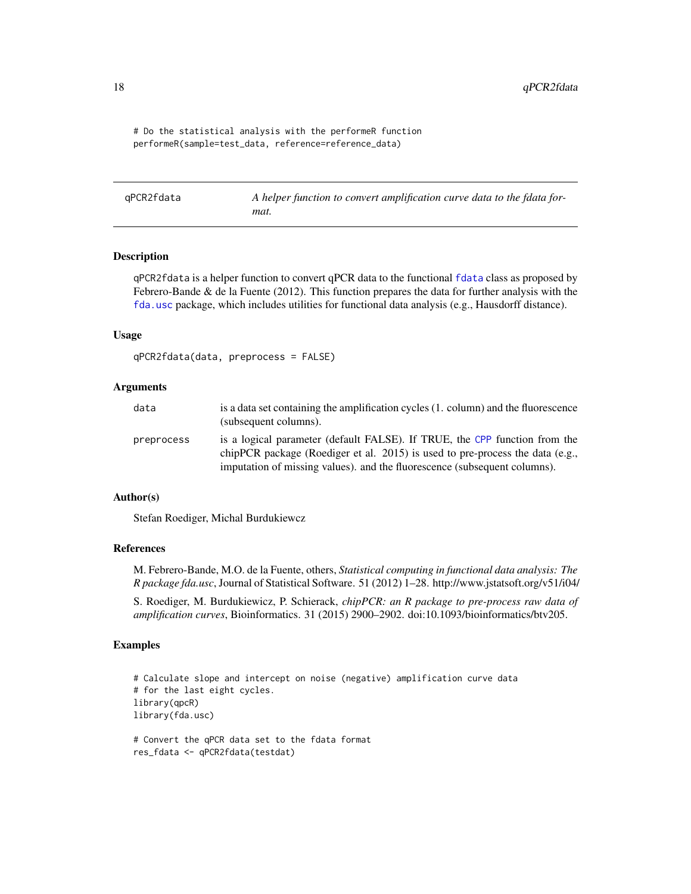# Do the statistical analysis with the performeR function performeR(sample=test\_data, reference=reference\_data)

<span id="page-17-1"></span>qPCR2fdata *A helper function to convert amplification curve data to the fdata format.*

#### Description

qPCR2fdata is a helper function to convert qPCR data to the functional [fdata](#page-0-0) class as proposed by Febrero-Bande  $\&$  de la Fuente (2012). This function prepares the data for further analysis with the [fda.usc](#page-0-0) package, which includes utilities for functional data analysis (e.g., Hausdorff distance).

#### Usage

```
qPCR2fdata(data, preprocess = FALSE)
```
#### Arguments

| data       | is a data set containing the amplification cycles (1, column) and the fluorescence<br>(subsequent columns).                                                                                                                              |
|------------|------------------------------------------------------------------------------------------------------------------------------------------------------------------------------------------------------------------------------------------|
| preprocess | is a logical parameter (default FALSE). If TRUE, the CPP function from the<br>chipPCR package (Roediger et al. 2015) is used to pre-process the data (e.g.,<br>imputation of missing values), and the fluorescence (subsequent columns). |

# Author(s)

Stefan Roediger, Michal Burdukiewcz

#### References

M. Febrero-Bande, M.O. de la Fuente, others, *Statistical computing in functional data analysis: The R package fda.usc*, Journal of Statistical Software. 51 (2012) 1–28. http://www.jstatsoft.org/v51/i04/

S. Roediger, M. Burdukiewicz, P. Schierack, *chipPCR: an R package to pre-process raw data of amplification curves*, Bioinformatics. 31 (2015) 2900–2902. doi:10.1093/bioinformatics/btv205.

```
# Calculate slope and intercept on noise (negative) amplification curve data
# for the last eight cycles.
library(qpcR)
library(fda.usc)
# Convert the qPCR data set to the fdata format
```

```
res_fdata <- qPCR2fdata(testdat)
```
<span id="page-17-0"></span>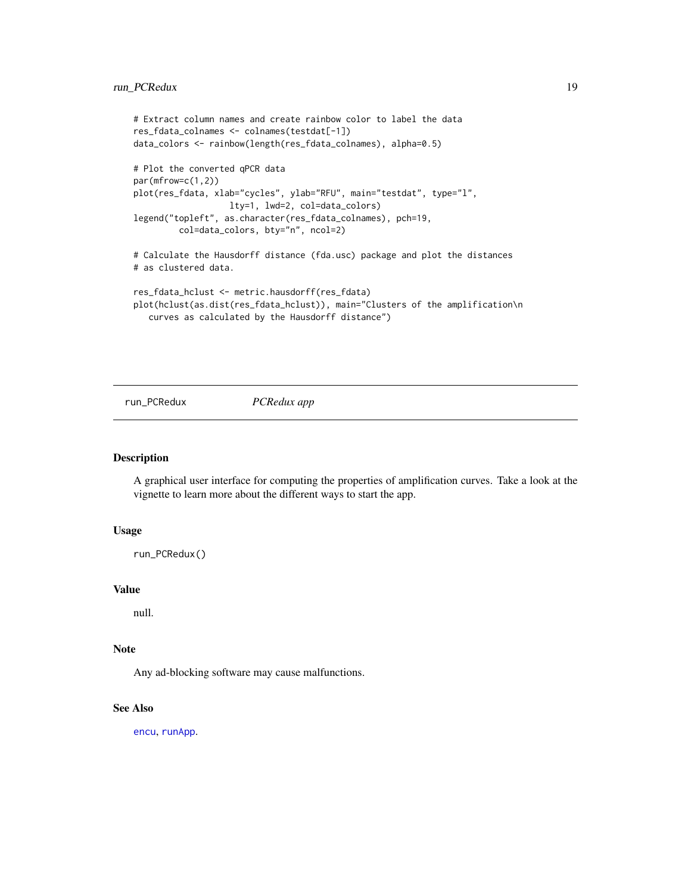```
# Extract column names and create rainbow color to label the data
res_fdata_colnames <- colnames(testdat[-1])
data_colors <- rainbow(length(res_fdata_colnames), alpha=0.5)
# Plot the converted qPCR data
par(mfrow=c(1,2))
plot(res_fdata, xlab="cycles", ylab="RFU", main="testdat", type="l",
                  lty=1, lwd=2, col=data_colors)
legend("topleft", as.character(res_fdata_colnames), pch=19,
         col=data_colors, bty="n", ncol=2)
# Calculate the Hausdorff distance (fda.usc) package and plot the distances
# as clustered data.
res_fdata_hclust <- metric.hausdorff(res_fdata)
plot(hclust(as.dist(res_fdata_hclust)), main="Clusters of the amplification\n
```

```
curves as calculated by the Hausdorff distance")
```
run\_PCRedux *PCRedux app*

# Description

A graphical user interface for computing the properties of amplification curves. Take a look at the vignette to learn more about the different ways to start the app.

# Usage

run\_PCRedux()

# Value

null.

# Note

Any ad-blocking software may cause malfunctions.

#### See Also

[encu](#page-6-1), [runApp](#page-0-0).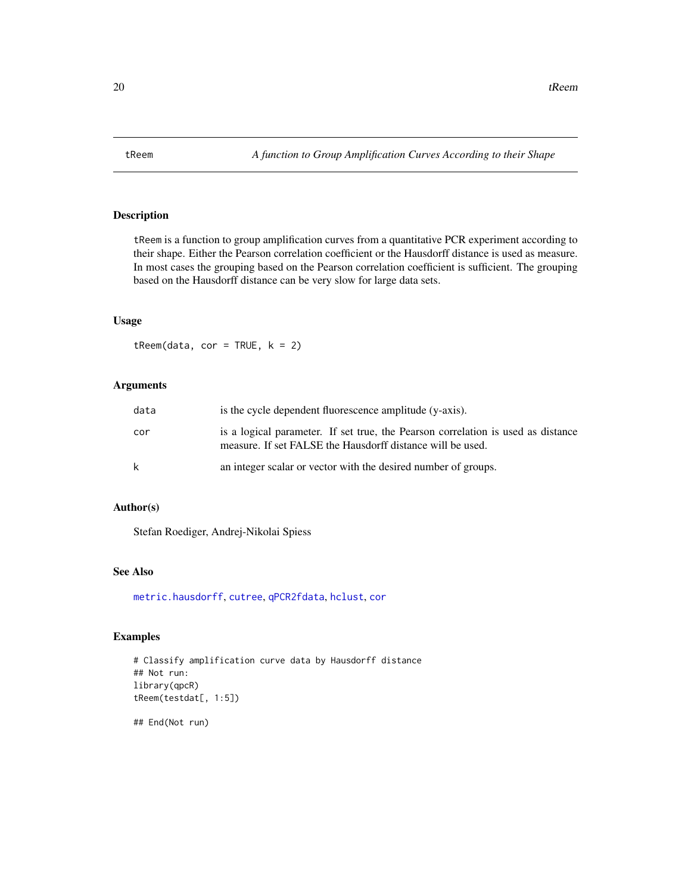<span id="page-19-0"></span>

# Description

tReem is a function to group amplification curves from a quantitative PCR experiment according to their shape. Either the Pearson correlation coefficient or the Hausdorff distance is used as measure. In most cases the grouping based on the Pearson correlation coefficient is sufficient. The grouping based on the Hausdorff distance can be very slow for large data sets.

# Usage

 $t$ Reem(data, cor = TRUE,  $k = 2$ )

# Arguments

| data | is the cycle dependent fluorescence amplitude (y-axis).                                                                                        |  |
|------|------------------------------------------------------------------------------------------------------------------------------------------------|--|
| cor  | is a logical parameter. If set true, the Pearson correlation is used as distance<br>measure. If set FALSE the Hausdorff distance will be used. |  |
| k    | an integer scalar or vector with the desired number of groups.                                                                                 |  |

# Author(s)

Stefan Roediger, Andrej-Nikolai Spiess

# See Also

[metric.hausdorff](#page-0-0), [cutree](#page-0-0), [qPCR2fdata](#page-17-1), [hclust](#page-0-0), [cor](#page-0-0)

# Examples

# Classify amplification curve data by Hausdorff distance ## Not run: library(qpcR) tReem(testdat[, 1:5])

## End(Not run)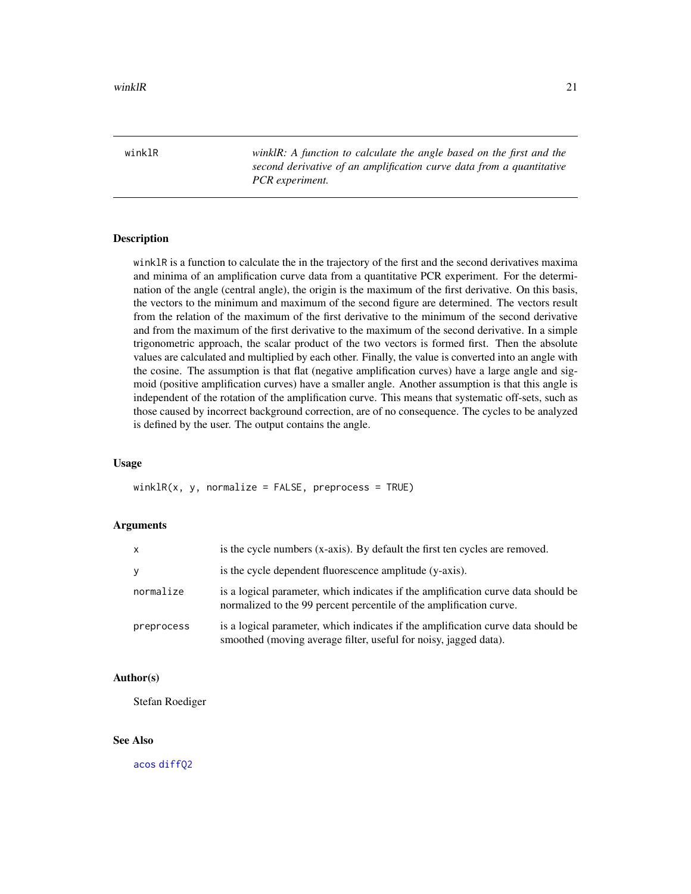<span id="page-20-0"></span>winklR *winklR: A function to calculate the angle based on the first and the second derivative of an amplification curve data from a quantitative PCR experiment.*

#### **Description**

winklR is a function to calculate the in the trajectory of the first and the second derivatives maxima and minima of an amplification curve data from a quantitative PCR experiment. For the determination of the angle (central angle), the origin is the maximum of the first derivative. On this basis, the vectors to the minimum and maximum of the second figure are determined. The vectors result from the relation of the maximum of the first derivative to the minimum of the second derivative and from the maximum of the first derivative to the maximum of the second derivative. In a simple trigonometric approach, the scalar product of the two vectors is formed first. Then the absolute values are calculated and multiplied by each other. Finally, the value is converted into an angle with the cosine. The assumption is that flat (negative amplification curves) have a large angle and sigmoid (positive amplification curves) have a smaller angle. Another assumption is that this angle is independent of the rotation of the amplification curve. This means that systematic off-sets, such as those caused by incorrect background correction, are of no consequence. The cycles to be analyzed is defined by the user. The output contains the angle.

# Usage

 $winklR(x, y, normalize = FALSE, preprocess = TRUE)$ 

# Arguments

| $\mathsf{x}$ | is the cycle numbers (x-axis). By default the first ten cycles are removed.                                                                              |
|--------------|----------------------------------------------------------------------------------------------------------------------------------------------------------|
| <b>y</b>     | is the cycle dependent fluorescence amplitude (y-axis).                                                                                                  |
| normalize    | is a logical parameter, which indicates if the amplification curve data should be<br>normalized to the 99 percent percentile of the amplification curve. |
| preprocess   | is a logical parameter, which indicates if the amplification curve data should be<br>smoothed (moving average filter, useful for noisy, jagged data).    |

# Author(s)

Stefan Roediger

# See Also

[acos](#page-0-0) [diffQ2](#page-0-0)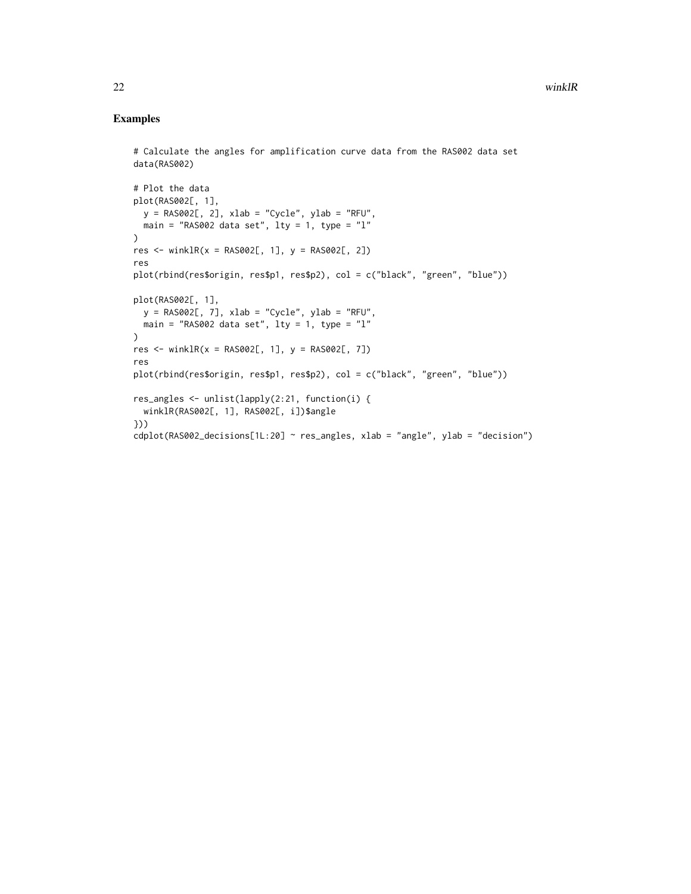```
# Calculate the angles for amplification curve data from the RAS002 data set
data(RAS002)
# Plot the data
plot(RAS002[, 1],
  y = RAS002[, 2], xlab = "Cycle", ylab = "RFU",main = "RAS002 data set", \text{lty} = 1, type = "1"
\lambdares <- winklR(x = RAS002[, 1], y = RAS002[, 2])res
plot(rbind(res$origin, res$p1, res$p2), col = c("black", "green", "blue"))
plot(RAS002[, 1],
 y = RAS002[, 7], xlab = "Cycle", ylab = "RFU",main = "RAS002 data set", lty = 1, type = "l"
\lambdares <- winklR(x = RAS002[, 1], y = RAS002[, 7]res
plot(rbind(res$origin, res$p1, res$p2), col = c("black", "green", "blue"))
res_angles <- unlist(lapply(2:21, function(i) {
  winklR(RAS002[, 1], RAS002[, i])$angle
}))
cdplot(RAS002_decisions[1L:20] ~ res_angles, xlab = "angle", ylab = "decision")
```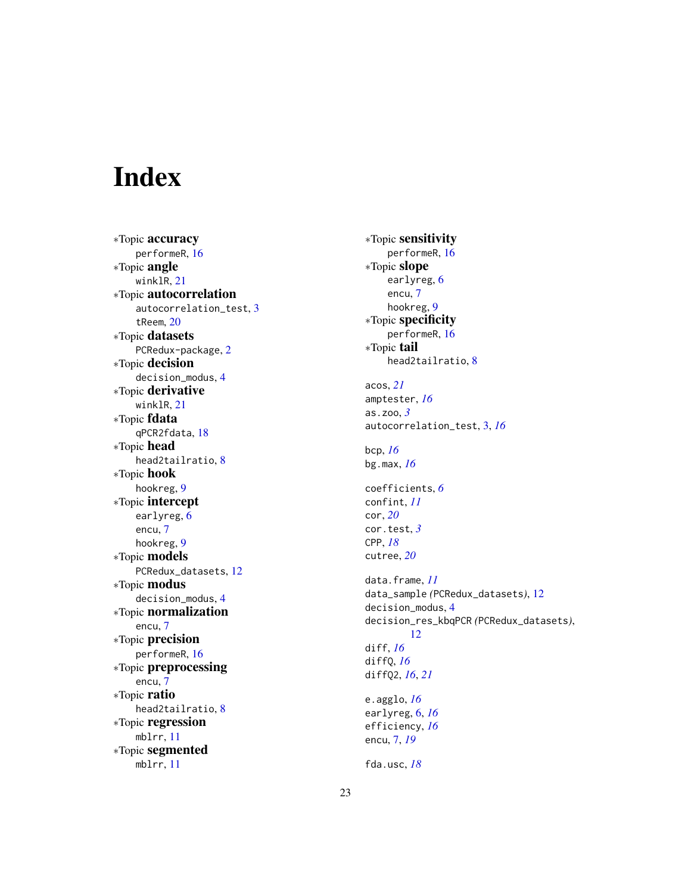# <span id="page-22-0"></span>Index

∗Topic accuracy performeR , [16](#page-15-0) ∗Topic angle winklR , [21](#page-20-0) ∗Topic autocorrelation autocorrelation\_test, [3](#page-2-0) tReem , [20](#page-19-0) ∗Topic datasets PCRedux-package, [2](#page-1-0) ∗Topic decision decision\_modus , [4](#page-3-0) ∗Topic derivative winklR, [21](#page-20-0) ∗Topic fdata qPCR2fdata , [18](#page-17-0) ∗Topic head head2tailratio , [8](#page-7-0) ∗Topic hook hookreg , [9](#page-8-0) ∗Topic intercept earlyreg, [6](#page-5-0) encu , [7](#page-6-0) hookreg , [9](#page-8-0) ∗Topic models PCRedux\_datasets , [12](#page-11-0) ∗Topic modus decision\_modus , [4](#page-3-0) ∗Topic normalization encu , [7](#page-6-0) ∗Topic precision performeR , [16](#page-15-0) ∗Topic preprocessing encu , [7](#page-6-0) ∗Topic ratio head2tailratio , [8](#page-7-0) ∗Topic regression mblrr , [11](#page-10-0) ∗Topic segmented mblrr , [11](#page-10-0)

∗Topic sensitivity performeR , [16](#page-15-0) ∗Topic slope earlyreg , [6](#page-5-0) encu , [7](#page-6-0) hookreg, <mark>[9](#page-8-0)</mark> ∗Topic specificity performeR , [16](#page-15-0) ∗Topic tail head2tailratio , [8](#page-7-0) acos , *[21](#page-20-0)* amptester , *[16](#page-15-0)* as.zoo , *[3](#page-2-0)* autocorrelation\_test , [3](#page-2-0) , *[16](#page-15-0)* bcp , *[16](#page-15-0)* bg.max , *[16](#page-15-0)* coefficients , *[6](#page-5-0)* confint , *[11](#page-10-0)* cor , *[20](#page-19-0)* cor.test , *[3](#page-2-0)* CPP , *[18](#page-17-0)* cutree , *[20](#page-19-0)* data.frame , *[11](#page-10-0)* data\_sample *(*PCRedux\_datasets *)* , [12](#page-11-0) decision\_modus , [4](#page-3-0) decision\_res\_kbqPCR *(*PCRedux\_datasets *)* , [12](#page-11-0) diff , *[16](#page-15-0)* diffQ , *[16](#page-15-0)* diffQ2 , *[16](#page-15-0)* , *[21](#page-20-0)* e.agglo , *[16](#page-15-0)* earlyreg , [6](#page-5-0) , *[16](#page-15-0)* efficiency , *[16](#page-15-0)* encu , [7](#page-6-0) , *[19](#page-18-0)* fda.usc , *[18](#page-17-0)*